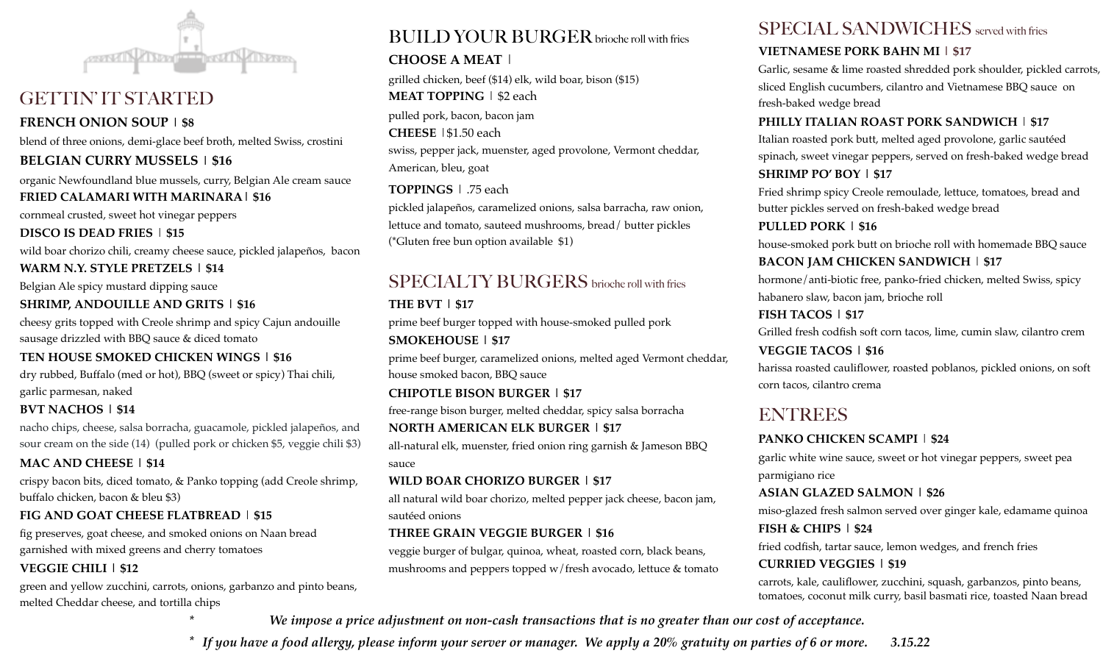

## GETTIN' IT STARTED

#### **FRENCH ONION SOUP | \$8**

blend of three onions, demi-glace beef broth, melted Swiss, crostini

#### **BELGIAN CURRY MUSSELS | \$16**

organic Newfoundland blue mussels, curry, Belgian Ale cream sauce **FRIED CALAMARI WITH MARINARA| \$16**

cornmeal crusted, sweet hot vinegar peppers **DISCO IS DEAD FRIES** | **\$15**

wild boar chorizo chili, creamy cheese sauce, pickled jalapeños, bacon

**WARM N.Y. STYLE PRETZELS | \$14** 

Belgian Ale spicy mustard dipping sauce

#### **SHRIMP, ANDOUILLE AND GRITS | \$16**

cheesy grits topped with Creole shrimp and spicy Cajun andouille sausage drizzled with BBQ sauce & diced tomato

#### **TEN HOUSE SMOKED CHICKEN WINGS | \$16**

dry rubbed, Buffalo (med or hot), BBQ (sweet or spicy) Thai chili, garlic parmesan, naked

#### **BVT NACHOS | \$14**

nacho chips, cheese, salsa borracha, guacamole, pickled jalapeños, and sour cream on the side (14) (pulled pork or chicken \$5, veggie chili \$3)

#### **MAC AND CHEESE | \$14**

crispy bacon bits, diced tomato, & Panko topping (add Creole shrimp, buffalo chicken, bacon & bleu \$3)

#### **FIG AND GOAT CHEESE FLATBREAD** | **\$15**

fig preserves, goat cheese, and smoked onions on Naan bread garnished with mixed greens and cherry tomatoes **VEGGIE CHILI | \$12** 

green and yellow zucchini, carrots, onions, garbanzo and pinto beans, melted Cheddar cheese, and tortilla chips

# BUILD YOUR BURGER brioche roll with fries

#### **CHOOSE A MEAT** |

grilled chicken, beef (\$14) elk, wild boar, bison (\$15) **MEAT TOPPING** | \$2 each pulled pork, bacon, bacon jam **CHEESE** |\$1.50 each swiss, pepper jack, muenster, aged provolone, Vermont cheddar, American, bleu, goat

#### **TOPPINGS** | .75 each

pickled jalapeños, caramelized onions, salsa barracha, raw onion, lettuce and tomato, sauteed mushrooms, bread/ butter pickles (\*Gluten free bun option available \$1)

# SPECIALTY BURGERS brioche roll with fries

#### **THE BVT | \$17**

prime beef burger topped with house-smoked pulled pork

#### **SMOKEHOUSE | \$17**

prime beef burger, caramelized onions, melted aged Vermont cheddar, house smoked bacon, BBQ sauce

## **CHIPOTLE BISON BURGER | \$17**

free-range bison burger, melted cheddar, spicy salsa borracha

#### **NORTH AMERICAN ELK BURGER | \$17**

all-natural elk, muenster, fried onion ring garnish & Jameson BBQ sauce

#### **WILD BOAR CHORIZO BURGER | \$17**

all natural wild boar chorizo, melted pepper jack cheese, bacon jam, sautéed onions

### **THREE GRAIN VEGGIE BURGER | \$16**

veggie burger of bulgar, quinoa, wheat, roasted corn, black beans, mushrooms and peppers topped w/fresh avocado, lettuce & tomato

# SPECIAL SANDWICHES served with fries

#### **VIETNAMESE PORK BAHN MI | \$17**

Garlic, sesame & lime roasted shredded pork shoulder, pickled carrots, sliced English cucumbers, cilantro and Vietnamese BBQ sauce on fresh-baked wedge bread

#### **PHILLY ITALIAN ROAST PORK SANDWICH** | **\$17**

Italian roasted pork butt, melted aged provolone, garlic sautéed spinach, sweet vinegar peppers, served on fresh-baked wedge bread **SHRIMP PO' BOY | \$17**

Fried shrimp spicy Creole remoulade, lettuce, tomatoes, bread and butter pickles served on fresh-baked wedge bread

#### **PULLED PORK | \$16**

house-smoked pork butt on brioche roll with homemade BBQ sauce **BACON JAM CHICKEN SANDWICH** | **\$17**

hormone/anti-biotic free, panko-fried chicken, melted Swiss, spicy habanero slaw, bacon jam, brioche roll

## **FISH TACOS | \$17**

Grilled fresh codfish soft corn tacos, lime, cumin slaw, cilantro crem

**VEGGIE TACOS | \$16**

harissa roasted cauliflower, roasted poblanos, pickled onions, on soft corn tacos, cilantro crema

# **ENTREES**

## **PANKO CHICKEN SCAMPI** | **\$24**

garlic white wine sauce, sweet or hot vinegar peppers, sweet pea parmigiano rice

#### **ASIAN GLAZED SALMON | \$26**

miso-glazed fresh salmon served over ginger kale, edamame quinoa **FISH & CHIPS | \$24**

fried codfish, tartar sauce, lemon wedges, and french fries **CURRIED VEGGIES | \$19**

carrots, kale, cauliflower, zucchini, squash, garbanzos, pinto beans, tomatoes, coconut milk curry, basil basmati rice, toasted Naan bread

*\* We impose a price adjustment on non-cash transactions that is no greater than our cost of acceptance.*

*\* If you have a food allergy, please inform your server or manager. We apply a 20% gratuity on parties of 6 or more. 3.15.22*